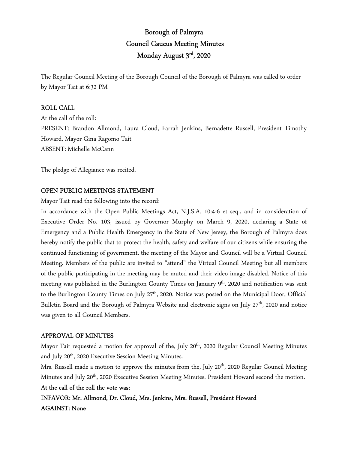# Borough of Palmyra Council Caucus Meeting Minutes Monday August 3rd, 2020

The Regular Council Meeting of the Borough Council of the Borough of Palmyra was called to order by Mayor Tait at 6:32 PM

# ROLL CALL

At the call of the roll: PRESENT: Brandon Allmond, Laura Cloud, Farrah Jenkins, Bernadette Russell, President Timothy Howard, Mayor Gina Ragomo Tait ABSENT: Michelle McCann

The pledge of Allegiance was recited.

# OPEN PUBLIC MEETINGS STATEMENT

Mayor Tait read the following into the record:

In accordance with the Open Public Meetings Act, N.J.S.A. 10:4-6 et seq., and in consideration of Executive Order No. 103, issued by Governor Murphy on March 9, 2020, declaring a State of Emergency and a Public Health Emergency in the State of New Jersey, the Borough of Palmyra does hereby notify the public that to protect the health, safety and welfare of our citizens while ensuring the continued functioning of government, the meeting of the Mayor and Council will be a Virtual Council Meeting. Members of the public are invited to "attend" the Virtual Council Meeting but all members of the public participating in the meeting may be muted and their video image disabled. Notice of this meeting was published in the Burlington County Times on January 9<sup>th</sup>, 2020 and notification was sent to the Burlington County Times on July 27<sup>th</sup>, 2020. Notice was posted on the Municipal Door, Official Bulletin Board and the Borough of Palmyra Website and electronic signs on July 27<sup>th</sup>, 2020 and notice was given to all Council Members.

# APPROVAL OF MINUTES

Mayor Tait requested a motion for approval of the, July 20<sup>th</sup>, 2020 Regular Council Meeting Minutes and July 20<sup>th</sup>, 2020 Executive Session Meeting Minutes.

Mrs. Russell made a motion to approve the minutes from the, July 20<sup>th</sup>, 2020 Regular Council Meeting Minutes and July 20<sup>th</sup>, 2020 Executive Session Meeting Minutes. President Howard second the motion.

# At the call of the roll the vote was:

INFAVOR: Mr. Allmond, Dr. Cloud, Mrs. Jenkins, Mrs. Russell, President Howard AGAINST: None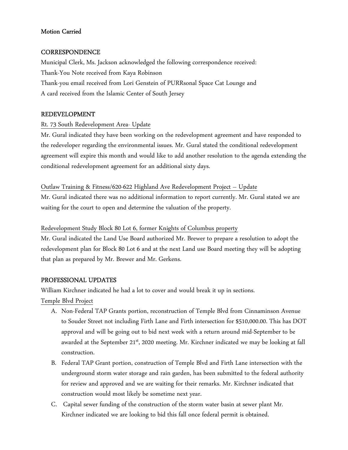# Motion Carried

# **CORRESPONDENCE**

Municipal Clerk, Ms. Jackson acknowledged the following correspondence received: Thank-You Note received from Kaya Robinson Thank-you email received from Lori Genstein of PURRsonal Space Cat Lounge and A card received from the Islamic Center of South Jersey

# REDEVELOPMENT

# Rt. 73 South Redevelopment Area- Update

Mr. Gural indicated they have been working on the redevelopment agreement and have responded to the redeveloper regarding the environmental issues. Mr. Gural stated the conditional redevelopment agreement will expire this month and would like to add another resolution to the agenda extending the conditional redevelopment agreement for an additional sixty days.

### Outlaw Training & Fitness/620-622 Highland Ave Redevelopment Project – Update

Mr. Gural indicated there was no additional information to report currently. Mr. Gural stated we are waiting for the court to open and determine the valuation of the property.

## Redevelopment Study Block 80 Lot 6, former Knights of Columbus property

Mr. Gural indicated the Land Use Board authorized Mr. Brewer to prepare a resolution to adopt the redevelopment plan for Block 80 Lot 6 and at the next Land use Board meeting they will be adopting that plan as prepared by Mr. Brewer and Mr. Gerkens.

### PROFESSIONAL UPDATES

William Kirchner indicated he had a lot to cover and would break it up in sections.

Temple Blvd Project

- A. Non-Federal TAP Grants portion, reconstruction of Temple Blvd from Cinnaminson Avenue to Souder Street not including Firth Lane and Firth intersection for \$510,000.00. This has DOT approval and will be going out to bid next week with a return around mid-September to be awarded at the September 21<sup>st</sup>, 2020 meeting. Mr. Kirchner indicated we may be looking at fall construction.
- B. Federal TAP Grant portion, construction of Temple Blvd and Firth Lane intersection with the underground storm water storage and rain garden, has been submitted to the federal authority for review and approved and we are waiting for their remarks. Mr. Kirchner indicated that construction would most likely be sometime next year.
- C. Capital sewer funding of the construction of the storm water basin at sewer plant Mr. Kirchner indicated we are looking to bid this fall once federal permit is obtained.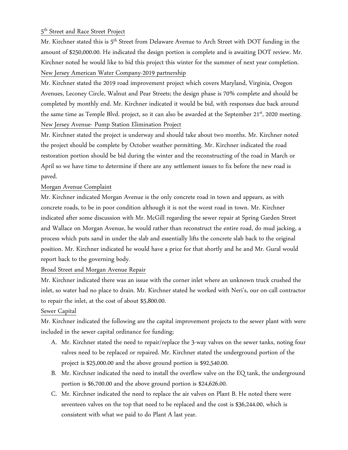# 5<sup>th</sup> Street and Race Street Project

Mr. Kirchner stated this is 5<sup>th</sup> Street from Delaware Avenue to Arch Street with DOT funding in the amount of \$250,000.00. He indicated the design portion is complete and is awaiting DOT review. Mr. Kirchner noted he would like to bid this project this winter for the summer of next year completion. New Jersey American Water Company-2019 partnership

Mr. Kirchner stated the 2019 road improvement project which covers Maryland, Virginia, Oregon Avenues, Leconey Circle, Walnut and Pear Streets; the design phase is 70% complete and should be completed by monthly end. Mr. Kirchner indicated it would be bid, with responses due back around the same time as Temple Blvd. project, so it can also be awarded at the September 21<sup>st</sup>, 2020 meeting. New Jersey Avenue- Pump Station Elimination Project

Mr. Kirchner stated the project is underway and should take about two months. Mr. Kirchner noted the project should be complete by October weather permitting. Mr. Kirchner indicated the road restoration portion should be bid during the winter and the reconstructing of the road in March or April so we have time to determine if there are any settlement issues to fix before the new road is paved.

# Morgan Avenue Complaint

Mr. Kirchner indicated Morgan Avenue is the only concrete road in town and appears, as with concrete roads, to be in poor condition although it is not the worst road in town. Mr. Kirchner indicated after some discussion with Mr. McGill regarding the sewer repair at Spring Garden Street and Wallace on Morgan Avenue, he would rather than reconstruct the entire road, do mud jacking, a process which puts sand in under the slab and essentially lifts the concrete slab back to the original position. Mr. Kirchner indicated he would have a price for that shortly and he and Mr. Gural would report back to the governing body.

# Broad Street and Morgan Avenue Repair

Mr. Kirchner indicated there was an issue with the corner inlet where an unknown truck crushed the inlet, so water had no place to drain. Mr. Kirchner stated he worked with Neri's, our on-call contractor to repair the inlet, at the cost of about \$5,800.00.

# Sewer Capital

Mr. Kirchner indicated the following are the capital improvement projects to the sewer plant with were included in the sewer capital ordinance for funding;

- A. Mr. Kirchner stated the need to repair/replace the 3-way valves on the sewer tanks, noting four valves need to be replaced or repaired. Mr. Kirchner stated the underground portion of the project is \$25,000.00 and the above ground portion is \$92,540.00.
- B. Mr. Kirchner indicated the need to install the overflow valve on the EQ tank, the underground portion is \$6,700.00 and the above ground portion is \$24,626.00.
- C. Mr. Kirchner indicated the need to replace the air valves on Plant B. He noted there were seventeen valves on the top that need to be replaced and the cost is \$36,244.00, which is consistent with what we paid to do Plant A last year.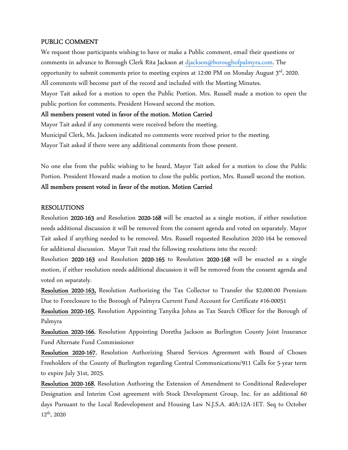### PUBLIC COMMENT

We request those participants wishing to have or make a Public comment, email their questions or comments in advance to Borough Clerk Rita Jackson at djackson@boroughofpalmyra.com. The opportunity to submit comments prior to meeting expires at 12:00 PM on Monday August 3<sup>rd</sup>, 2020. All comments will become part of the record and included with the Meeting Minutes. Mayor Tait asked for a motion to open the Public Portion. Mrs. Russell made a motion to open the public portion for comments. President Howard second the motion.

### All members present voted in favor of the motion. Motion Carried

Mayor Tait asked if any comments were received before the meeting. Municipal Clerk, Ms. Jackson indicated no comments were received prior to the meeting. Mayor Tait asked if there were any additional comments from those present.

No one else from the public wishing to be heard, Mayor Tait asked for a motion to close the Public Portion. President Howard made a motion to close the public portion, Mrs. Russell second the motion. All members present voted in favor of the motion. Motion Carried

### RESOLUTIONS

Resolution 2020-163 and Resolution 2020-168 will be enacted as a single motion, if either resolution needs additional discussion it will be removed from the consent agenda and voted on separately. Mayor Tait asked if anything needed to be removed. Mrs. Russell requested Resolution 2020-164 be removed for additional discussion. Mayor Tait read the following resolutions into the record:

Resolution 2020-163 and Resolution 2020-165 to Resolution 2020-168 will be enacted as a single motion, if either resolution needs additional discussion it will be removed from the consent agenda and voted on separately.

Resolution 2020-163, Resolution Authorizing the Tax Collector to Transfer the \$2,000.00 Premium Due to Foreclosure to the Borough of Palmyra Current Fund Account for Certificate #16-00051

Resolution 2020-165, Resolution Appointing Tanyika Johns as Tax Search Officer for the Borough of Palmyra

Resolution 2020-166, Resolution Appointing Doretha Jackson as Burlington County Joint Insurance Fund Alternate Fund Commissioner

Resolution 2020-167, Resolution Authorizing Shared Services Agreement with Board of Chosen Freeholders of the County of Burlington regarding Central Communications/911 Calls for 5-year term to expire July 31st, 2025.

Resolution 2020-168, Resolution Authoring the Extension of Amendment to Conditional Redeveloper Designation and Interim Cost agreement with Stock Development Group, Inc. for an additional 60 days Pursuant to the Local Redevelopment and Housing Law N.J.S.A. 40A:12A-1ET. Seq to October  $12^{th}$ , 2020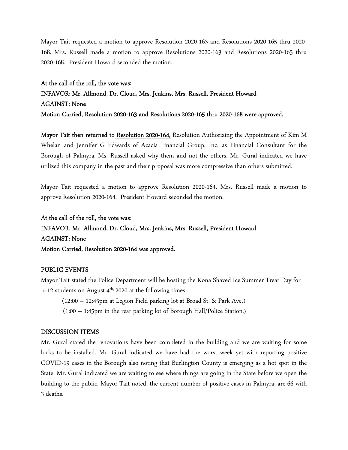Mayor Tait requested a motion to approve Resolution 2020-163 and Resolutions 2020-165 thru 2020- 168. Mrs. Russell made a motion to approve Resolutions 2020-163 and Resolutions 2020-165 thru 2020-168. President Howard seconded the motion.

At the call of the roll, the vote was: INFAVOR: Mr. Allmond, Dr. Cloud, Mrs. Jenkins, Mrs. Russell, President Howard AGAINST: None Motion Carried, Resolution 2020-163 and Resolutions 2020-165 thru 2020-168 were approved.

Mayor Tait then returned to Resolution 2020-164, Resolution Authorizing the Appointment of Kim M Whelan and Jennifer G Edwards of Acacia Financial Group, Inc. as Financial Consultant for the Borough of Palmyra. Ms. Russell asked why them and not the others. Mr. Gural indicated we have utilized this company in the past and their proposal was more compressive than others submitted.

Mayor Tait requested a motion to approve Resolution 2020-164. Mrs. Russell made a motion to approve Resolution 2020-164. President Howard seconded the motion.

At the call of the roll, the vote was: INFAVOR: Mr. Allmond, Dr. Cloud, Mrs. Jenkins, Mrs. Russell, President Howard AGAINST: None Motion Carried, Resolution 2020-164 was approved.

### PUBLIC EVENTS

Mayor Tait stated the Police Department will be hosting the Kona Shaved Ice Summer Treat Day for K-12 students on August  $4<sup>th</sup>$ , 2020 at the following times:

(12:00 – 12:45pm at Legion Field parking lot at Broad St. & Park Ave.)

(1:00 – 1:45pm in the rear parking lot of Borough Hall/Police Station.)

### DISCUSSION ITEMS

Mr. Gural stated the renovations have been completed in the building and we are waiting for some locks to be installed. Mr. Gural indicated we have had the worst week yet with reporting positive COVID-19 cases in the Borough also noting that Burlington County is emerging as a hot spot in the State. Mr. Gural indicated we are waiting to see where things are going in the State before we open the building to the public. Mayor Tait noted, the current number of positive cases in Palmyra, are 66 with 3 deaths.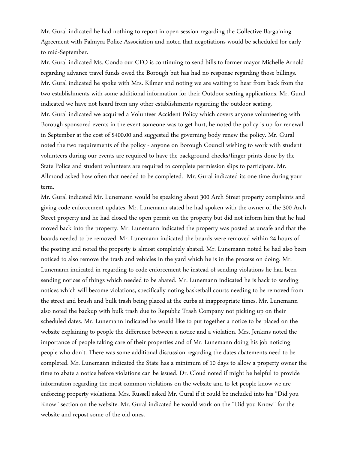Mr. Gural indicated he had nothing to report in open session regarding the Collective Bargaining Agreement with Palmyra Police Association and noted that negotiations would be scheduled for early to mid-September.

Mr. Gural indicated Ms. Condo our CFO is continuing to send bills to former mayor Michelle Arnold regarding advance travel funds owed the Borough but has had no response regarding those billings. Mr. Gural indicated he spoke with Mrs. Kilmer and noting we are waiting to hear from back from the two establishments with some additional information for their Outdoor seating applications. Mr. Gural indicated we have not heard from any other establishments regarding the outdoor seating. Mr. Gural indicated we acquired a Volunteer Accident Policy which covers anyone volunteering with Borough sponsored events in the event someone was to get hurt, he noted the policy is up for renewal in September at the cost of \$400.00 and suggested the governing body renew the policy. Mr. Gural noted the two requirements of the policy - anyone on Borough Council wishing to work with student volunteers during our events are required to have the background checks/finger prints done by the State Police and student volunteers are required to complete permission slips to participate. Mr. Allmond asked how often that needed to be completed. Mr. Gural indicated its one time during your term.

Mr. Gural indicated Mr. Lunemann would be speaking about 300 Arch Street property complaints and giving code enforcement updates. Mr. Lunemann stated he had spoken with the owner of the 300 Arch Street property and he had closed the open permit on the property but did not inform him that he had moved back into the property. Mr. Lunemann indicated the property was posted as unsafe and that the boards needed to be removed. Mr. Lunemann indicated the boards were removed within 24 hours of the posting and noted the property is almost completely abated. Mr. Lunemann noted he had also been noticed to also remove the trash and vehicles in the yard which he is in the process on doing. Mr. Lunemann indicated in regarding to code enforcement he instead of sending violations he had been sending notices of things which needed to be abated. Mr. Lunemann indicated he is back to sending notices which will become violations, specifically noting basketball courts needing to be removed from the street and brush and bulk trash being placed at the curbs at inappropriate times. Mr. Lunemann also noted the backup with bulk trash due to Republic Trash Company not picking up on their scheduled dates. Mr. Lunemann indicated he would like to put together a notice to be placed on the website explaining to people the difference between a notice and a violation. Mrs. Jenkins noted the importance of people taking care of their properties and of Mr. Lunemann doing his job noticing people who don't. There was some additional discussion regarding the dates abatements need to be completed. Mr. Lunemann indicated the State has a minimum of 10 days to allow a property owner the time to abate a notice before violations can be issued. Dr. Cloud noted if might be helpful to provide information regarding the most common violations on the website and to let people know we are enforcing property violations. Mrs. Russell asked Mr. Gural if it could be included into his "Did you Know" section on the website. Mr. Gural indicated he would work on the "Did you Know" for the website and repost some of the old ones.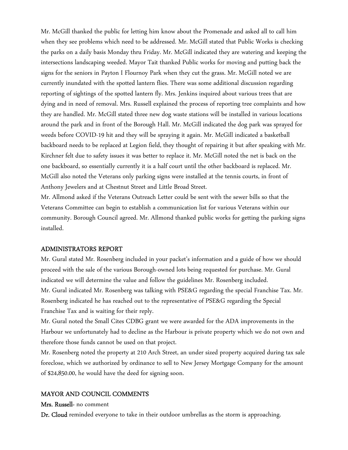Mr. McGill thanked the public for letting him know about the Promenade and asked all to call him when they see problems which need to be addressed. Mr. McGill stated that Public Works is checking the parks on a daily basis Monday thru Friday. Mr. McGill indicated they are watering and keeping the intersections landscaping weeded. Mayor Tait thanked Public works for moving and putting back the signs for the seniors in Payton I Flournoy Park when they cut the grass. Mr. McGill noted we are currently inundated with the spotted lantern flies. There was some additional discussion regarding reporting of sightings of the spotted lantern fly. Mrs. Jenkins inquired about various trees that are dying and in need of removal. Mrs. Russell explained the process of reporting tree complaints and how they are handled. Mr. McGill stated three new dog waste stations will be installed in various locations around the park and in front of the Borough Hall. Mr. McGill indicated the dog park was sprayed for weeds before COVID-19 hit and they will be spraying it again. Mr. McGill indicated a basketball backboard needs to be replaced at Legion field, they thought of repairing it but after speaking with Mr. Kirchner felt due to safety issues it was better to replace it. Mr. McGill noted the net is back on the one backboard, so essentially currently it is a half court until the other backboard is replaced. Mr. McGill also noted the Veterans only parking signs were installed at the tennis courts, in front of Anthony Jewelers and at Chestnut Street and Little Broad Street.

Mr. Allmond asked if the Veterans Outreach Letter could be sent with the sewer bills so that the Veterans Committee can begin to establish a communication list for various Veterans within our community. Borough Council agreed. Mr. Allmond thanked public works for getting the parking signs installed.

### ADMINISTRATORS REPORT

Mr. Gural stated Mr. Rosenberg included in your packet's information and a guide of how we should proceed with the sale of the various Borough-owned lots being requested for purchase. Mr. Gural indicated we will determine the value and follow the guidelines Mr. Rosenberg included. Mr. Gural indicated Mr. Rosenberg was talking with PSE&G regarding the special Franchise Tax. Mr. Rosenberg indicated he has reached out to the representative of PSE&G regarding the Special Franchise Tax and is waiting for their reply.

Mr. Gural noted the Small Cites CDBG grant we were awarded for the ADA improvements in the Harbour we unfortunately had to decline as the Harbour is private property which we do not own and therefore those funds cannot be used on that project.

Mr. Rosenberg noted the property at 210 Arch Street, an under sized property acquired during tax sale foreclose, which we authorized by ordinance to sell to New Jersey Mortgage Company for the amount of \$24,850.00, he would have the deed for signing soon.

#### MAYOR AND COUNCIL COMMENTS

#### Mrs. Russell- no comment

Dr. Cloud reminded everyone to take in their outdoor umbrellas as the storm is approaching.